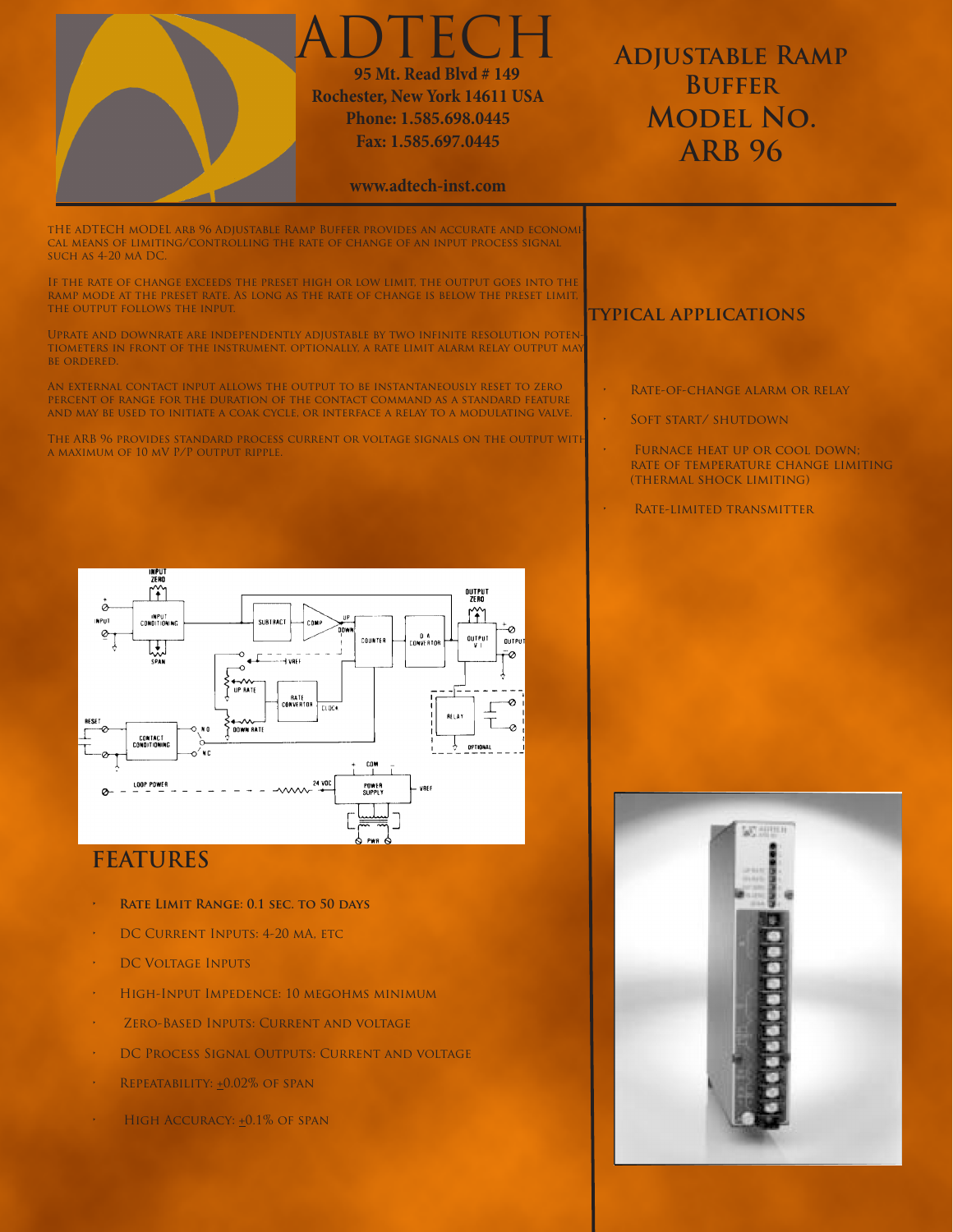

## **FEATURES**

- **RATE LIMIT RANGE: 0.1 SEC. TO 50 DAYS**
- DC CURRENT INPUTS: 4-20 MA, ETC
- • DC Voltage Inputs
- • High-Input Impedence: 10 megohms minimum
- • Zero-Based Inputs: Current and voltage
- • DC Process Signal Outputs: Current and voltage
- REPEATABILITY: +0.02% OF SPAN
- $\cdot$  High Accuracy:  $\pm 0.1\%$  of SPAN